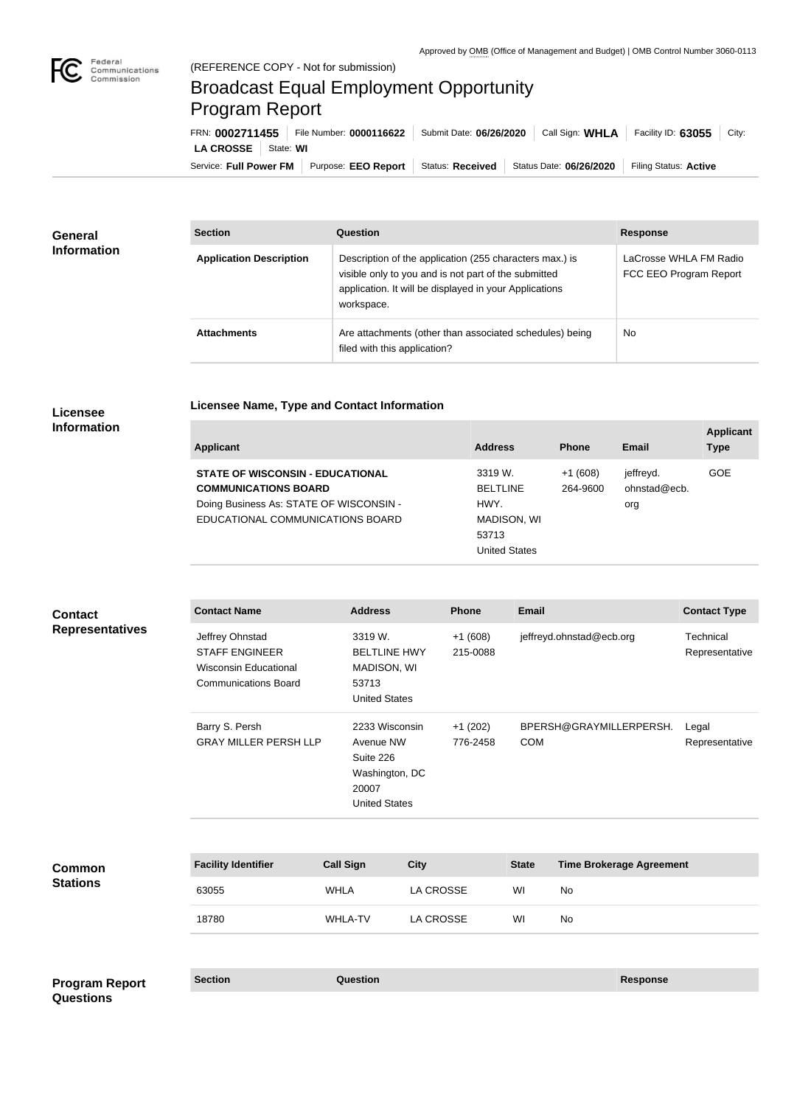

## Broadcast Equal Employment Opportunity Program Report

**Licensee Name, Type and Contact Information**

Service: Full Power FM Purpose: EEO Report | Status: Received | Status Date: 06/26/2020 | Filing Status: Active **LA CROSSE** | State: WI FRN: **0002711455** File Number: **0000116622** Submit Date: **06/26/2020** Call Sign: **WHLA** Facility ID: **63055** City:

| General<br><b>Information</b> | <b>Section</b>                 | <b>Question</b>                                                                                                                                                                         | <b>Response</b>                                  |
|-------------------------------|--------------------------------|-----------------------------------------------------------------------------------------------------------------------------------------------------------------------------------------|--------------------------------------------------|
|                               | <b>Application Description</b> | Description of the application (255 characters max.) is<br>visible only to you and is not part of the submitted<br>application. It will be displayed in your Applications<br>workspace. | LaCrosse WHLA FM Radio<br>FCC EEO Program Report |
|                               | <b>Attachments</b>             | Are attachments (other than associated schedules) being<br>filed with this application?                                                                                                 | No                                               |

## **Licensee Information**

**Questions**

| <b>Applicant</b>                                                                                                                                      | <b>Address</b>                                             | <b>Phone</b>          | Email                            | <b>Applicant</b><br><b>Type</b> |
|-------------------------------------------------------------------------------------------------------------------------------------------------------|------------------------------------------------------------|-----------------------|----------------------------------|---------------------------------|
| <b>STATE OF WISCONSIN - EDUCATIONAL</b><br><b>COMMUNICATIONS BOARD</b><br>Doing Business As: STATE OF WISCONSIN -<br>EDUCATIONAL COMMUNICATIONS BOARD | 3319 W.<br><b>BELTLINE</b><br>HWY.<br>MADISON, WI<br>53713 | $+1(608)$<br>264-9600 | jeffreyd.<br>ohnstad@ecb.<br>org | GOE                             |
|                                                                                                                                                       | <b>United States</b>                                       |                       |                                  |                                 |

| <b>Contact</b><br><b>Representatives</b> | <b>Contact Name</b>                                                                                     | <b>Address</b>                                                                              |                  | Phone                 | <b>Email</b> |                                 | <b>Contact Type</b>         |
|------------------------------------------|---------------------------------------------------------------------------------------------------------|---------------------------------------------------------------------------------------------|------------------|-----------------------|--------------|---------------------------------|-----------------------------|
|                                          | Jeffrey Ohnstad<br><b>STAFF ENGINEER</b><br><b>Wisconsin Educational</b><br><b>Communications Board</b> | 3319 W.<br><b>BELTLINE HWY</b><br>MADISON, WI<br>53713<br><b>United States</b>              |                  | $+1(608)$<br>215-0088 |              | jeffreyd.ohnstad@ecb.org        | Technical<br>Representative |
|                                          | Barry S. Persh<br><b>GRAY MILLER PERSH LLP</b>                                                          | 2233 Wisconsin<br>Avenue NW<br>Suite 226<br>Washington, DC<br>20007<br><b>United States</b> |                  | $+1(202)$<br>776-2458 | <b>COM</b>   | BPERSH@GRAYMILLERPERSH.         | Legal<br>Representative     |
| <b>Common</b><br><b>Stations</b>         | <b>Facility Identifier</b>                                                                              | <b>Call Sign</b>                                                                            | <b>City</b>      |                       | <b>State</b> | <b>Time Brokerage Agreement</b> |                             |
|                                          | 63055                                                                                                   | <b>WHLA</b>                                                                                 | <b>LA CROSSE</b> |                       | WI           | <b>No</b>                       |                             |
|                                          | 18780                                                                                                   | <b>WHLA-TV</b>                                                                              | <b>LA CROSSE</b> |                       | WI           | No                              |                             |
| <b>Program Report</b>                    | <b>Section</b>                                                                                          | Question                                                                                    |                  |                       |              | <b>Response</b>                 |                             |